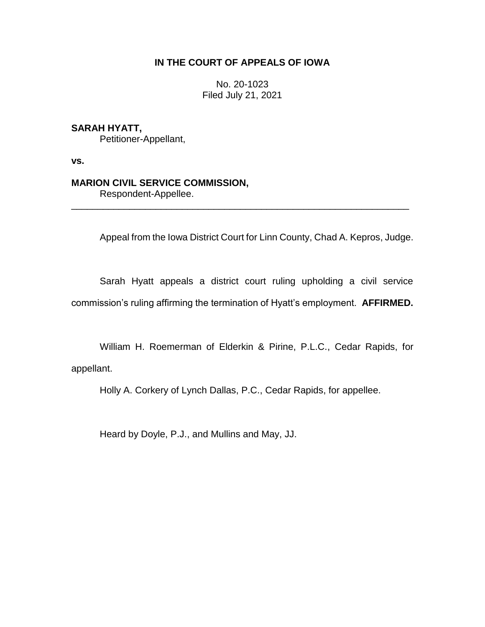# **IN THE COURT OF APPEALS OF IOWA**

No. 20-1023 Filed July 21, 2021

# **SARAH HYATT,**

Petitioner-Appellant,

**vs.**

## **MARION CIVIL SERVICE COMMISSION,**

Respondent-Appellee.

Appeal from the Iowa District Court for Linn County, Chad A. Kepros, Judge.

Sarah Hyatt appeals a district court ruling upholding a civil service commission's ruling affirming the termination of Hyatt's employment. **AFFIRMED.**

\_\_\_\_\_\_\_\_\_\_\_\_\_\_\_\_\_\_\_\_\_\_\_\_\_\_\_\_\_\_\_\_\_\_\_\_\_\_\_\_\_\_\_\_\_\_\_\_\_\_\_\_\_\_\_\_\_\_\_\_\_\_\_\_

William H. Roemerman of Elderkin & Pirine, P.L.C., Cedar Rapids, for appellant.

Holly A. Corkery of Lynch Dallas, P.C., Cedar Rapids, for appellee.

Heard by Doyle, P.J., and Mullins and May, JJ.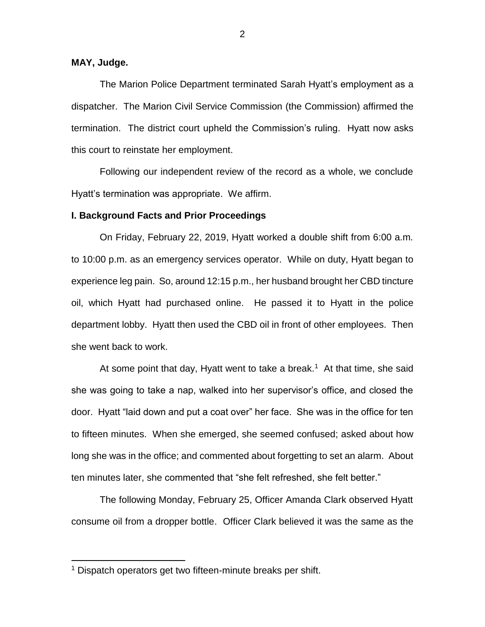# **MAY, Judge.**

The Marion Police Department terminated Sarah Hyatt's employment as a dispatcher. The Marion Civil Service Commission (the Commission) affirmed the termination. The district court upheld the Commission's ruling. Hyatt now asks this court to reinstate her employment.

Following our independent review of the record as a whole, we conclude Hyatt's termination was appropriate. We affirm.

#### **I. Background Facts and Prior Proceedings**

On Friday, February 22, 2019, Hyatt worked a double shift from 6:00 a.m. to 10:00 p.m. as an emergency services operator. While on duty, Hyatt began to experience leg pain. So, around 12:15 p.m., her husband brought her CBD tincture oil, which Hyatt had purchased online. He passed it to Hyatt in the police department lobby. Hyatt then used the CBD oil in front of other employees. Then she went back to work.

At some point that day, Hyatt went to take a break.<sup>1</sup> At that time, she said she was going to take a nap, walked into her supervisor's office, and closed the door. Hyatt "laid down and put a coat over" her face. She was in the office for ten to fifteen minutes. When she emerged, she seemed confused; asked about how long she was in the office; and commented about forgetting to set an alarm. About ten minutes later, she commented that "she felt refreshed, she felt better."

The following Monday, February 25, Officer Amanda Clark observed Hyatt consume oil from a dropper bottle. Officer Clark believed it was the same as the

 $\overline{a}$ 

<sup>&</sup>lt;sup>1</sup> Dispatch operators get two fifteen-minute breaks per shift.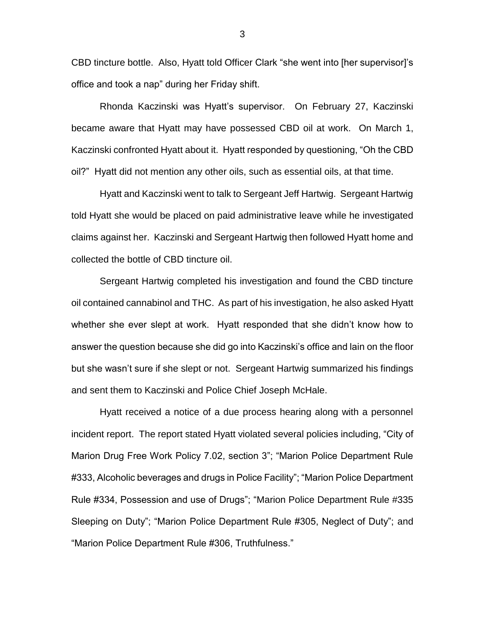CBD tincture bottle. Also, Hyatt told Officer Clark "she went into [her supervisor]'s office and took a nap" during her Friday shift.

Rhonda Kaczinski was Hyatt's supervisor. On February 27, Kaczinski became aware that Hyatt may have possessed CBD oil at work. On March 1, Kaczinski confronted Hyatt about it. Hyatt responded by questioning, "Oh the CBD oil?" Hyatt did not mention any other oils, such as essential oils, at that time.

Hyatt and Kaczinski went to talk to Sergeant Jeff Hartwig. Sergeant Hartwig told Hyatt she would be placed on paid administrative leave while he investigated claims against her. Kaczinski and Sergeant Hartwig then followed Hyatt home and collected the bottle of CBD tincture oil.

Sergeant Hartwig completed his investigation and found the CBD tincture oil contained cannabinol and THC. As part of his investigation, he also asked Hyatt whether she ever slept at work. Hyatt responded that she didn't know how to answer the question because she did go into Kaczinski's office and lain on the floor but she wasn't sure if she slept or not. Sergeant Hartwig summarized his findings and sent them to Kaczinski and Police Chief Joseph McHale.

Hyatt received a notice of a due process hearing along with a personnel incident report. The report stated Hyatt violated several policies including, "City of Marion Drug Free Work Policy 7.02, section 3"; "Marion Police Department Rule #333, Alcoholic beverages and drugs in Police Facility"; "Marion Police Department Rule #334, Possession and use of Drugs"; "Marion Police Department Rule #335 Sleeping on Duty"; "Marion Police Department Rule #305, Neglect of Duty"; and "Marion Police Department Rule #306, Truthfulness."

3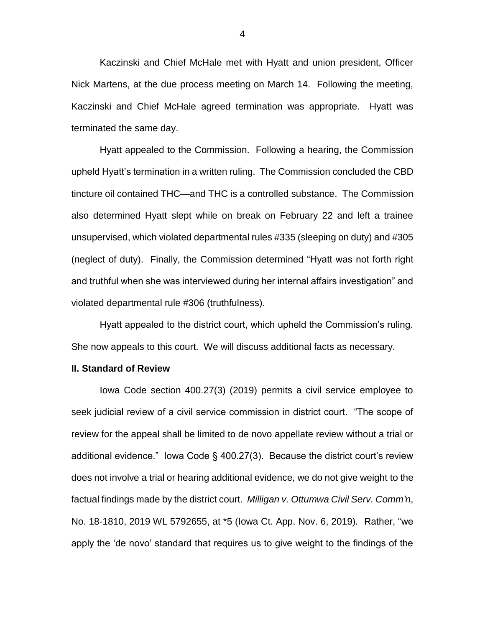Kaczinski and Chief McHale met with Hyatt and union president, Officer Nick Martens, at the due process meeting on March 14. Following the meeting, Kaczinski and Chief McHale agreed termination was appropriate. Hyatt was terminated the same day.

Hyatt appealed to the Commission. Following a hearing, the Commission upheld Hyatt's termination in a written ruling. The Commission concluded the CBD tincture oil contained THC—and THC is a controlled substance. The Commission also determined Hyatt slept while on break on February 22 and left a trainee unsupervised, which violated departmental rules #335 (sleeping on duty) and #305 (neglect of duty). Finally, the Commission determined "Hyatt was not forth right and truthful when she was interviewed during her internal affairs investigation" and violated departmental rule #306 (truthfulness).

Hyatt appealed to the district court, which upheld the Commission's ruling. She now appeals to this court. We will discuss additional facts as necessary.

#### **II. Standard of Review**

Iowa Code section 400.27(3) (2019) permits a civil service employee to seek judicial review of a civil service commission in district court. "The scope of review for the appeal shall be limited to de novo appellate review without a trial or additional evidence." Iowa Code § 400.27(3). Because the district court's review does not involve a trial or hearing additional evidence, we do not give weight to the factual findings made by the district court. *Milligan v. Ottumwa Civil Serv. Comm'n*, No. 18-1810, 2019 WL 5792655, at \*5 (Iowa Ct. App. Nov. 6, 2019). Rather, "we apply the 'de novo' standard that requires us to give weight to the findings of the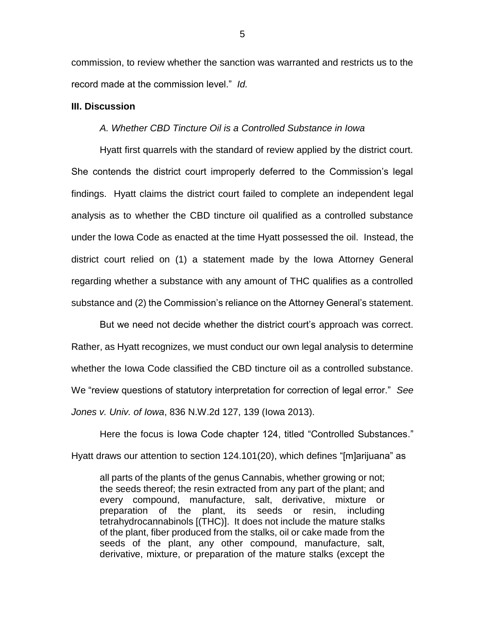commission, to review whether the sanction was warranted and restricts us to the record made at the commission level." *Id.*

## **III. Discussion**

## *A. Whether CBD Tincture Oil is a Controlled Substance in Iowa*

Hyatt first quarrels with the standard of review applied by the district court. She contends the district court improperly deferred to the Commission's legal findings. Hyatt claims the district court failed to complete an independent legal analysis as to whether the CBD tincture oil qualified as a controlled substance under the Iowa Code as enacted at the time Hyatt possessed the oil. Instead, the district court relied on (1) a statement made by the Iowa Attorney General regarding whether a substance with any amount of THC qualifies as a controlled substance and (2) the Commission's reliance on the Attorney General's statement.

But we need not decide whether the district court's approach was correct. Rather, as Hyatt recognizes, we must conduct our own legal analysis to determine whether the Iowa Code classified the CBD tincture oil as a controlled substance. We "review questions of statutory interpretation for correction of legal error." *See Jones v. Univ. of Iowa*, 836 N.W.2d 127, 139 (Iowa 2013).

Here the focus is Iowa Code chapter 124, titled "Controlled Substances." Hyatt draws our attention to section 124.101(20), which defines "[m]arijuana" as

all parts of the plants of the genus Cannabis, whether growing or not; the seeds thereof; the resin extracted from any part of the plant; and every compound, manufacture, salt, derivative, mixture or preparation of the plant, its seeds or resin, including tetrahydrocannabinols [(THC)]. It does not include the mature stalks of the plant, fiber produced from the stalks, oil or cake made from the seeds of the plant, any other compound, manufacture, salt, derivative, mixture, or preparation of the mature stalks (except the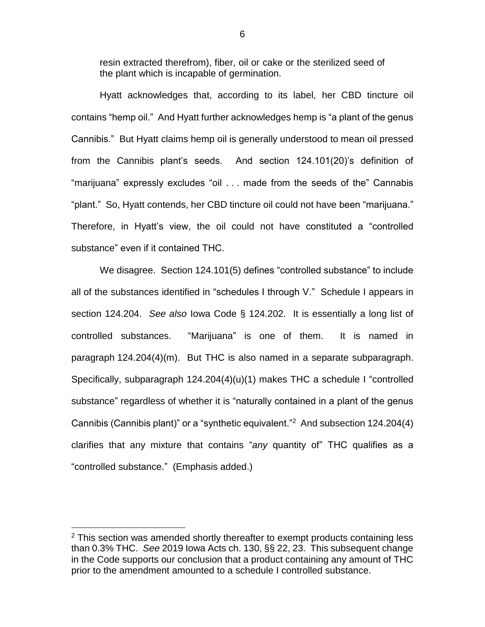resin extracted therefrom), fiber, oil or cake or the sterilized seed of the plant which is incapable of germination.

Hyatt acknowledges that, according to its label, her CBD tincture oil contains "hemp oil." And Hyatt further acknowledges hemp is "a plant of the genus Cannibis." But Hyatt claims hemp oil is generally understood to mean oil pressed from the Cannibis plant's seeds. And section 124.101(20)'s definition of "marijuana" expressly excludes "oil . . . made from the seeds of the" Cannabis "plant." So, Hyatt contends, her CBD tincture oil could not have been "marijuana." Therefore, in Hyatt's view, the oil could not have constituted a "controlled substance" even if it contained THC.

We disagree. Section 124.101(5) defines "controlled substance" to include all of the substances identified in "schedules I through V." Schedule I appears in section 124.204. *See also* Iowa Code § 124.202. It is essentially a long list of controlled substances. "Marijuana" is one of them. It is named in paragraph 124.204(4)(m). But THC is also named in a separate subparagraph. Specifically, subparagraph 124.204(4)(u)(1) makes THC a schedule I "controlled substance" regardless of whether it is "naturally contained in a plant of the genus Cannibis (Cannibis plant)" or a "synthetic equivalent."<sup>2</sup> And subsection 124.204(4) clarifies that any mixture that contains "*any* quantity of" THC qualifies as a "controlled substance." (Emphasis added.)

 $\overline{a}$ 

 $2$  This section was amended shortly thereafter to exempt products containing less than 0.3% THC. *See* 2019 Iowa Acts ch. 130, §§ 22, 23. This subsequent change in the Code supports our conclusion that a product containing any amount of THC prior to the amendment amounted to a schedule I controlled substance.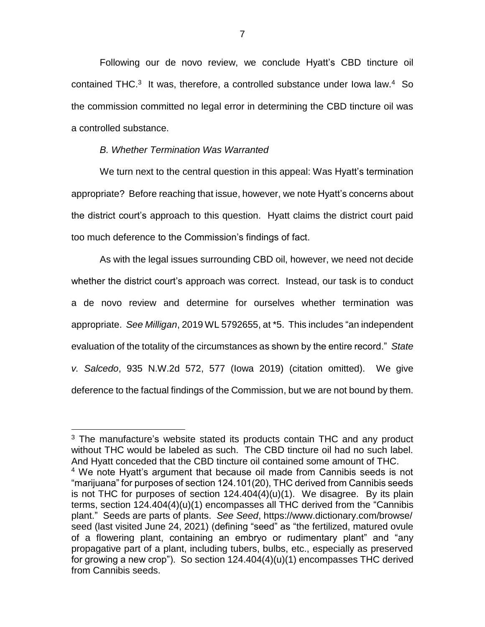Following our de novo review, we conclude Hyatt's CBD tincture oil contained THC. $3$  It was, therefore, a controlled substance under lowa law. $4$  So the commission committed no legal error in determining the CBD tincture oil was a controlled substance.

### *B. Whether Termination Was Warranted*

 $\overline{a}$ 

We turn next to the central question in this appeal: Was Hyatt's termination appropriate? Before reaching that issue, however, we note Hyatt's concerns about the district court's approach to this question. Hyatt claims the district court paid too much deference to the Commission's findings of fact.

As with the legal issues surrounding CBD oil, however, we need not decide whether the district court's approach was correct. Instead, our task is to conduct a de novo review and determine for ourselves whether termination was appropriate. *See Milligan*, 2019 WL 5792655, at \*5. This includes "an independent evaluation of the totality of the circumstances as shown by the entire record." *State v. Salcedo*, 935 N.W.2d 572, 577 (Iowa 2019) (citation omitted). We give deference to the factual findings of the Commission, but we are not bound by them.

<sup>&</sup>lt;sup>3</sup> The manufacture's website stated its products contain THC and any product without THC would be labeled as such. The CBD tincture oil had no such label. And Hyatt conceded that the CBD tincture oil contained some amount of THC. <sup>4</sup> We note Hyatt's argument that because oil made from Cannibis seeds is not "marijuana" for purposes of section 124.101(20), THC derived from Cannibis seeds is not THC for purposes of section  $124.404(4)(u)(1)$ . We disagree. By its plain terms, section 124.404(4)(u)(1) encompasses all THC derived from the "Cannibis plant." Seeds are parts of plants. *See Seed*, https://www.dictionary.com/browse/ seed (last visited June 24, 2021) (defining "seed" as "the fertilized, matured ovule of a flowering plant, containing an embryo or rudimentary plant" and "any propagative part of a plant, including tubers, bulbs, etc., especially as preserved for growing a new crop"). So section 124.404(4)(u)(1) encompasses THC derived from Cannibis seeds.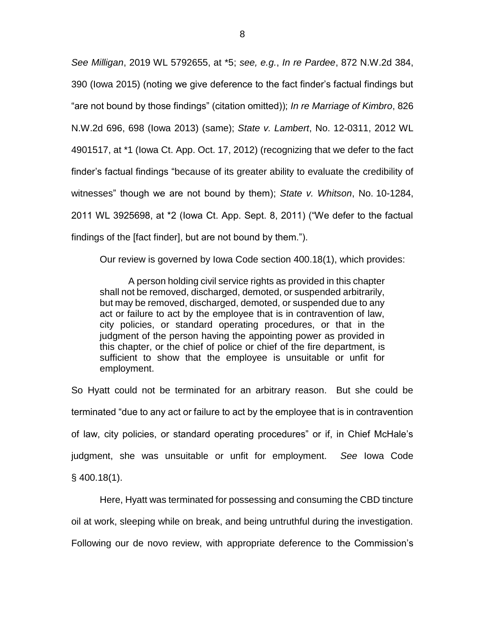*See Milligan*, 2019 WL 5792655, at \*5; *see, e.g.*, *In re Pardee*, 872 N.W.2d 384, 390 (Iowa 2015) (noting we give deference to the fact finder's factual findings but "are not bound by those findings" (citation omitted)); *In re Marriage of Kimbro*, 826 N.W.2d 696, 698 (Iowa 2013) (same); *State v. Lambert*, No. 12-0311, 2012 WL 4901517, at \*1 (Iowa Ct. App. Oct. 17, 2012) (recognizing that we defer to the fact finder's factual findings "because of its greater ability to evaluate the credibility of witnesses" though we are not bound by them); *State v. Whitson*, No. 10-1284, 2011 WL 3925698, at \*2 (Iowa Ct. App. Sept. 8, 2011) ("We defer to the factual findings of the [fact finder], but are not bound by them.").

Our review is governed by Iowa Code section 400.18(1), which provides:

A person holding civil service rights as provided in this chapter shall not be removed, discharged, demoted, or suspended arbitrarily, but may be removed, discharged, demoted, or suspended due to any act or failure to act by the employee that is in contravention of law, city policies, or standard operating procedures, or that in the judgment of the person having the appointing power as provided in this chapter, or the chief of police or chief of the fire department, is sufficient to show that the employee is unsuitable or unfit for employment.

So Hyatt could not be terminated for an arbitrary reason. But she could be terminated "due to any act or failure to act by the employee that is in contravention of law, city policies, or standard operating procedures" or if, in Chief McHale's judgment, she was unsuitable or unfit for employment. *See* Iowa Code § 400.18(1).

Here, Hyatt was terminated for possessing and consuming the CBD tincture oil at work, sleeping while on break, and being untruthful during the investigation. Following our de novo review, with appropriate deference to the Commission's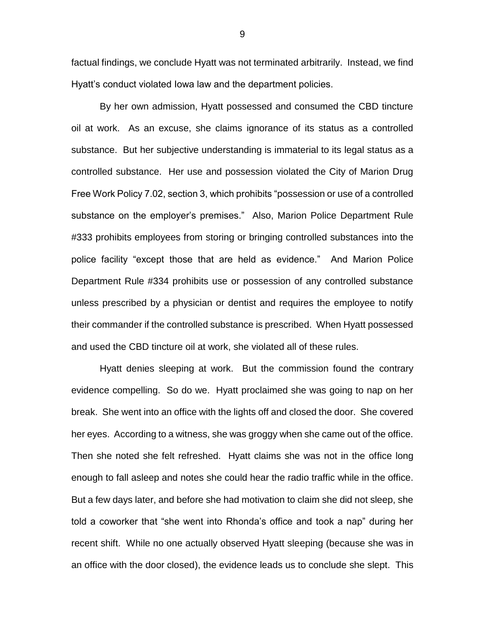factual findings, we conclude Hyatt was not terminated arbitrarily. Instead, we find Hyatt's conduct violated Iowa law and the department policies.

By her own admission, Hyatt possessed and consumed the CBD tincture oil at work. As an excuse, she claims ignorance of its status as a controlled substance. But her subjective understanding is immaterial to its legal status as a controlled substance. Her use and possession violated the City of Marion Drug Free Work Policy 7.02, section 3, which prohibits "possession or use of a controlled substance on the employer's premises." Also, Marion Police Department Rule #333 prohibits employees from storing or bringing controlled substances into the police facility "except those that are held as evidence." And Marion Police Department Rule #334 prohibits use or possession of any controlled substance unless prescribed by a physician or dentist and requires the employee to notify their commander if the controlled substance is prescribed. When Hyatt possessed and used the CBD tincture oil at work, she violated all of these rules.

Hyatt denies sleeping at work. But the commission found the contrary evidence compelling. So do we. Hyatt proclaimed she was going to nap on her break. She went into an office with the lights off and closed the door. She covered her eyes. According to a witness, she was groggy when she came out of the office. Then she noted she felt refreshed. Hyatt claims she was not in the office long enough to fall asleep and notes she could hear the radio traffic while in the office. But a few days later, and before she had motivation to claim she did not sleep, she told a coworker that "she went into Rhonda's office and took a nap" during her recent shift. While no one actually observed Hyatt sleeping (because she was in an office with the door closed), the evidence leads us to conclude she slept. This

9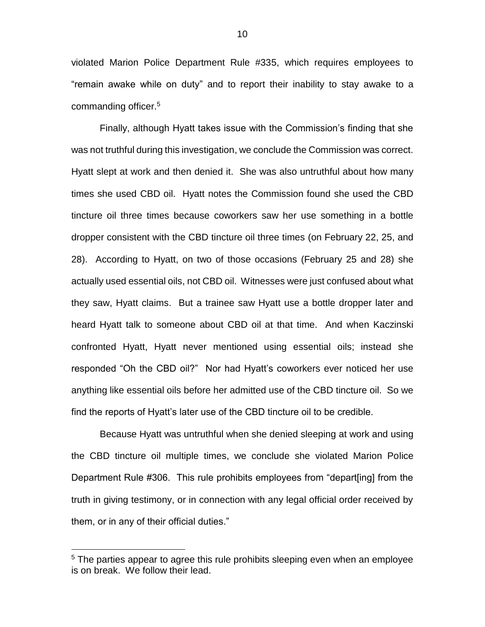violated Marion Police Department Rule #335, which requires employees to "remain awake while on duty" and to report their inability to stay awake to a commanding officer.<sup>5</sup>

Finally, although Hyatt takes issue with the Commission's finding that she was not truthful during this investigation, we conclude the Commission was correct. Hyatt slept at work and then denied it. She was also untruthful about how many times she used CBD oil. Hyatt notes the Commission found she used the CBD tincture oil three times because coworkers saw her use something in a bottle dropper consistent with the CBD tincture oil three times (on February 22, 25, and 28). According to Hyatt, on two of those occasions (February 25 and 28) she actually used essential oils, not CBD oil. Witnesses were just confused about what they saw, Hyatt claims. But a trainee saw Hyatt use a bottle dropper later and heard Hyatt talk to someone about CBD oil at that time. And when Kaczinski confronted Hyatt, Hyatt never mentioned using essential oils; instead she responded "Oh the CBD oil?" Nor had Hyatt's coworkers ever noticed her use anything like essential oils before her admitted use of the CBD tincture oil. So we find the reports of Hyatt's later use of the CBD tincture oil to be credible.

Because Hyatt was untruthful when she denied sleeping at work and using the CBD tincture oil multiple times, we conclude she violated Marion Police Department Rule #306. This rule prohibits employees from "depart[ing] from the truth in giving testimony, or in connection with any legal official order received by them, or in any of their official duties."

 $\overline{a}$ 

<sup>&</sup>lt;sup>5</sup> The parties appear to agree this rule prohibits sleeping even when an employee is on break. We follow their lead.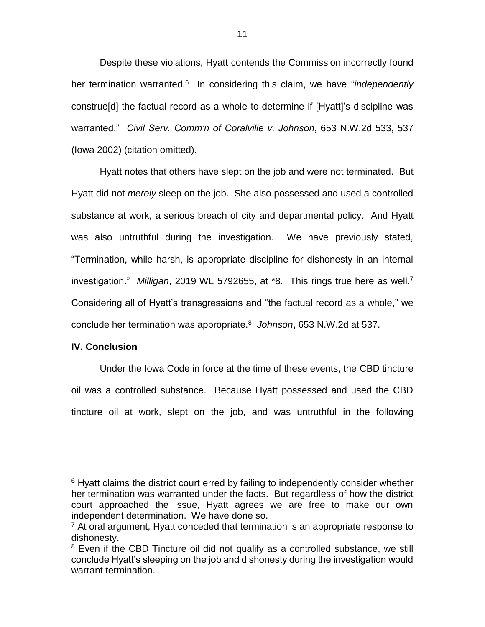Despite these violations, Hyatt contends the Commission incorrectly found her termination warranted.<sup>6</sup> In considering this claim, we have "*independently* construe[d] the factual record as a whole to determine if [Hyatt]'s discipline was warranted." *Civil Serv. Comm'n of Coralville v. Johnson*, 653 N.W.2d 533, 537 (Iowa 2002) (citation omitted).

Hyatt notes that others have slept on the job and were not terminated. But Hyatt did not *merely* sleep on the job. She also possessed and used a controlled substance at work, a serious breach of city and departmental policy. And Hyatt was also untruthful during the investigation. We have previously stated, "Termination, while harsh, is appropriate discipline for dishonesty in an internal investigation." *Milligan*, 2019 WL 5792655, at \*8. This rings true here as well. 7 Considering all of Hyatt's transgressions and "the factual record as a whole," we conclude her termination was appropriate.<sup>8</sup> *Johnson*, 653 N.W.2d at 537.

### **IV. Conclusion**

 $\overline{a}$ 

Under the Iowa Code in force at the time of these events, the CBD tincture oil was a controlled substance. Because Hyatt possessed and used the CBD tincture oil at work, slept on the job, and was untruthful in the following

<sup>&</sup>lt;sup>6</sup> Hyatt claims the district court erred by failing to independently consider whether her termination was warranted under the facts. But regardless of how the district court approached the issue, Hyatt agrees we are free to make our own independent determination. We have done so.

 $<sup>7</sup>$  At oral argument, Hyatt conceded that termination is an appropriate response to</sup> dishonesty.

<sup>&</sup>lt;sup>8</sup> Even if the CBD Tincture oil did not qualify as a controlled substance, we still conclude Hyatt's sleeping on the job and dishonesty during the investigation would warrant termination.